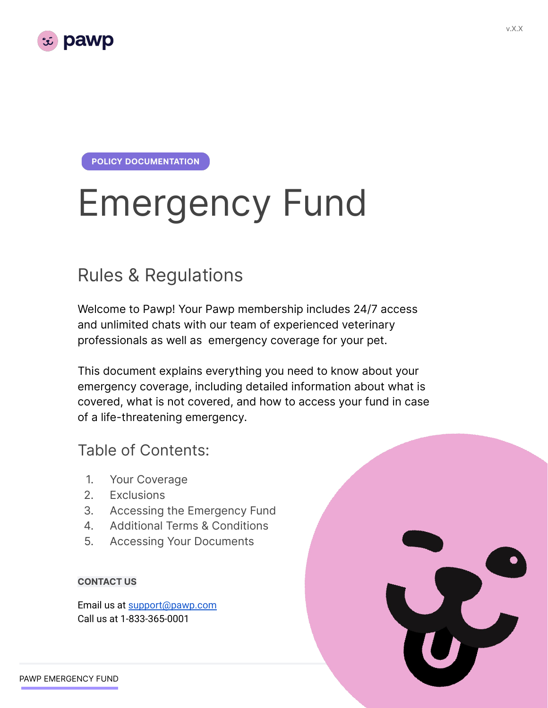

**POLICY DOCUMENTATION** 

# Emergency Fund

## Rules & Regulations

Welcome to Pawp! Your Pawp membership includes 24/7 access and unlimited chats with our team of experienced veterinary professionals as well as emergency coverage for your pet.

This document explains everything you need to know about your emergency coverage, including detailed information about what is covered, what is not covered, and how to access your fund in case of a life-threatening emergency.

#### Table of Contents:

- 1. Your Coverage
- 2. Exclusions
- 3. Accessing the Emergency Fund
- 4. Additional Terms & Conditions
- 5. Accessing Your Documents

#### **CONTACT US**

Email us at [support@pawp.com](mailto:support@pawp.com) Call us at 1-833-365-0001

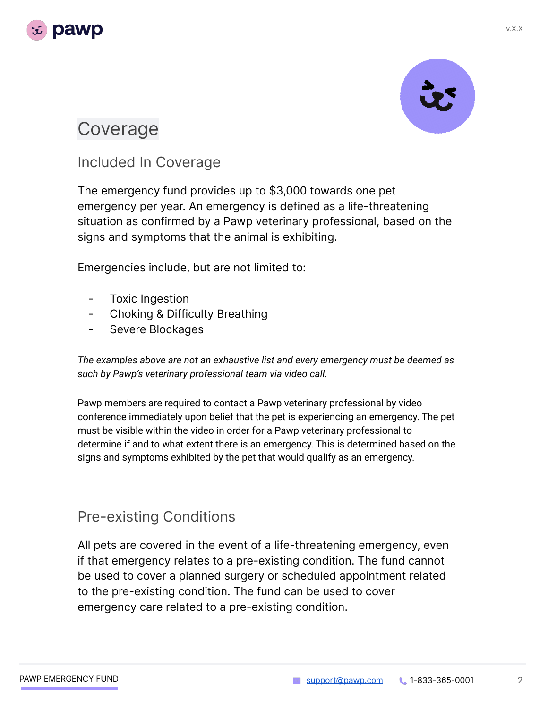



### Coverage

#### Included In Coverage

The emergency fund provides up to \$3,000 towards one pet emergency per year. An emergency is defined as a life-threatening situation as confirmed by a Pawp veterinary professional, based on the signs and symptoms that the animal is exhibiting.

Emergencies include, but are not limited to:

- Toxic Ingestion
- Choking & Difficulty Breathing
- Severe Blockages

*The examples above are not an exhaustive list and every emergency must be deemed as such by Pawp's veterinary professional team via video call.*

Pawp members are required to contact a Pawp veterinary professional by video conference immediately upon belief that the pet is experiencing an emergency. The pet must be visible within the video in order for a Pawp veterinary professional to determine if and to what extent there is an emergency. This is determined based on the signs and symptoms exhibited by the pet that would qualify as an emergency.

#### Pre-existing Conditions

All pets are covered in the event of a life-threatening emergency, even if that emergency relates to a pre-existing condition. The fund cannot be used to cover a planned surgery or scheduled appointment related to the pre-existing condition. The fund can be used to cover emergency care related to a pre-existing condition.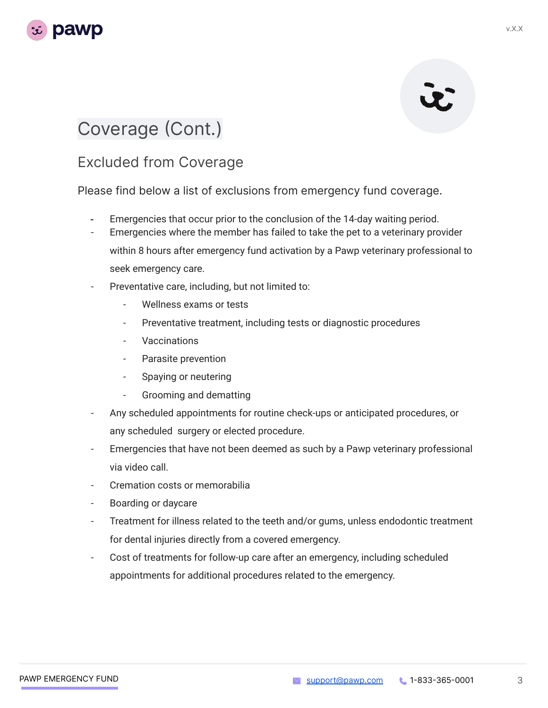

# U.

# Coverage (Cont.)

#### Excluded from Coverage

Please find below a list of exclusions from emergency fund coverage.

- Emergencies that occur prior to the conclusion of the 14-day waiting period.
- Emergencies where the member has failed to take the pet to a veterinary provider within 8 hours after emergency fund activation by a Pawp veterinary professional to seek emergency care.
- Preventative care, including, but not limited to:
	- Wellness exams or tests
	- Preventative treatment, including tests or diagnostic procedures
	- **Vaccinations**
	- Parasite prevention
	- Spaying or neutering
	- Grooming and dematting
- Any scheduled appointments for routine check-ups or anticipated procedures, or any scheduled surgery or elected procedure.
- Emergencies that have not been deemed as such by a Pawp veterinary professional via video call.
- Cremation costs or memorabilia
- Boarding or daycare
- Treatment for illness related to the teeth and/or gums, unless endodontic treatment for dental injuries directly from a covered emergency.
- Cost of treatments for follow-up care after an emergency, including scheduled appointments for additional procedures related to the emergency.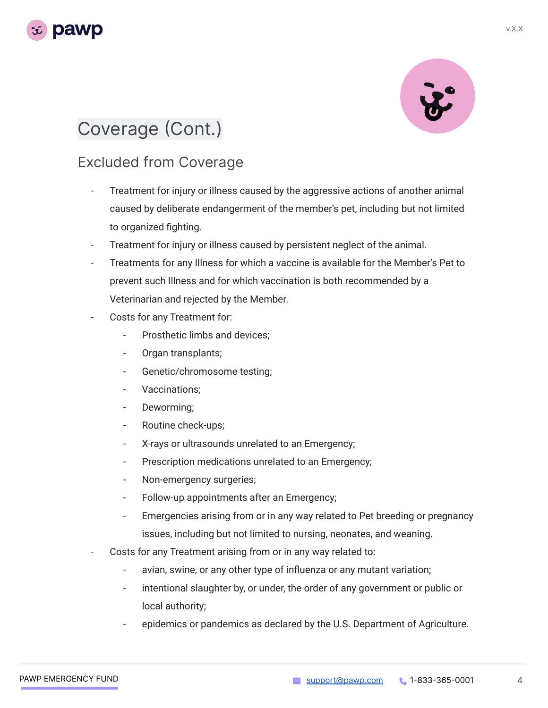

# Coverage (Cont.)

#### Excluded from Coverage

- Treatment for injury or illness caused by the aggressive actions of another animal caused by deliberate endangerment of the member's pet, including but not limited to organized fighting.
- Treatment for injury or illness caused by persistent neglect of the animal.
- Treatments for any Illness for which a vaccine is available for the Member's Pet to prevent such Illness and for which vaccination is both recommended by a Veterinarian and rejected by the Member.
- Costs for any Treatment for:
	- Prosthetic limbs and devices:
	- Organ transplants;
	- Genetic/chromosome testing;
	- Vaccinations:
	- Deworming;
	- Routine check-ups;
	- X-rays or ultrasounds unrelated to an Emergency;
	- Prescription medications unrelated to an Emergency;
	- Non-emergency surgeries;
	- Follow-up appointments after an Emergency;
	- Emergencies arising from or in any way related to Pet breeding or pregnancy issues, including but not limited to nursing, neonates, and weaning.
- Costs for any Treatment arising from or in any way related to:
	- avian, swine, or any other type of influenza or any mutant variation;
	- intentional slaughter by, or under, the order of any government or public or local authority;
	- epidemics or pandemics as declared by the U.S. Department of Agriculture.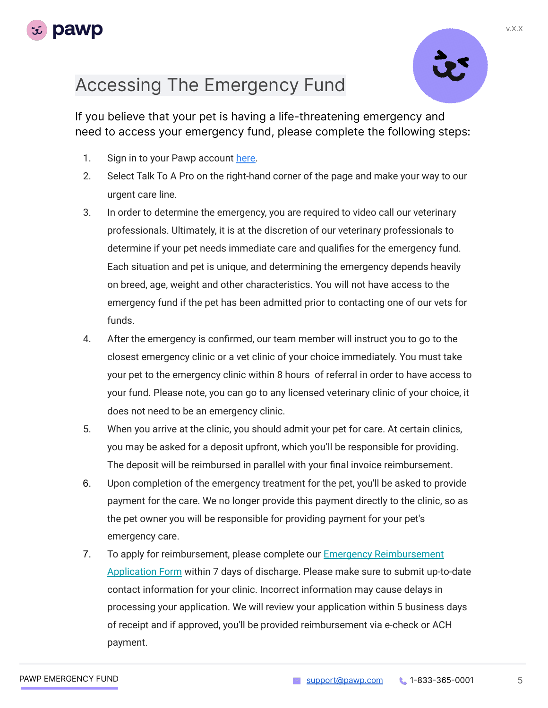



If you believe that your pet is having a life-threatening emergency and need to access your emergency fund, please complete the following steps:

- 1. Sign in to your Pawp account [here](https://pawp.com/auth/login/).
- 2. Select Talk To A Pro on the right-hand corner of the page and make your way to our urgent care line.
- 3. In order to determine the emergency, you are required to video call our veterinary professionals. Ultimately, it is at the discretion of our veterinary professionals to determine if your pet needs immediate care and qualifies for the emergency fund. Each situation and pet is unique, and determining the emergency depends heavily on breed, age, weight and other characteristics. You will not have access to the emergency fund if the pet has been admitted prior to contacting one of our vets for funds.
- 4. After the emergency is confirmed, our team member will instruct you to go to the closest emergency clinic or a vet clinic of your choice immediately. You must take your pet to the emergency clinic within 8 hours of referral in order to have access to your fund. Please note, you can go to any licensed veterinary clinic of your choice, it does not need to be an emergency clinic.
- 5. When you arrive at the clinic, you should admit your pet for care. At certain clinics, you may be asked for a deposit upfront, which you'll be responsible for providing. The deposit will be reimbursed in parallel with your final invoice reimbursement.
- 6. Upon completion of the emergency treatment for the pet, you'll be asked to provide payment for the care. We no longer provide this payment directly to the clinic, so as the pet owner you will be responsible for providing payment for your pet's emergency care.
- 7. To apply for reimbursement, please complete our [Emergency Reimbursement](https://docs.google.com/forms/d/1NuqnwLjxZZW5JjatYngC-KJGI_TliM7tg-EnuX_ZboE/edit) [Application Form](https://docs.google.com/forms/d/1NuqnwLjxZZW5JjatYngC-KJGI_TliM7tg-EnuX_ZboE/edit) within 7 days of discharge. Please make sure to submit up-to-date contact information for your clinic. Incorrect information may cause delays in processing your application. We will review your application within 5 business days of receipt and if approved, you'll be provided reimbursement via e-check or ACH payment.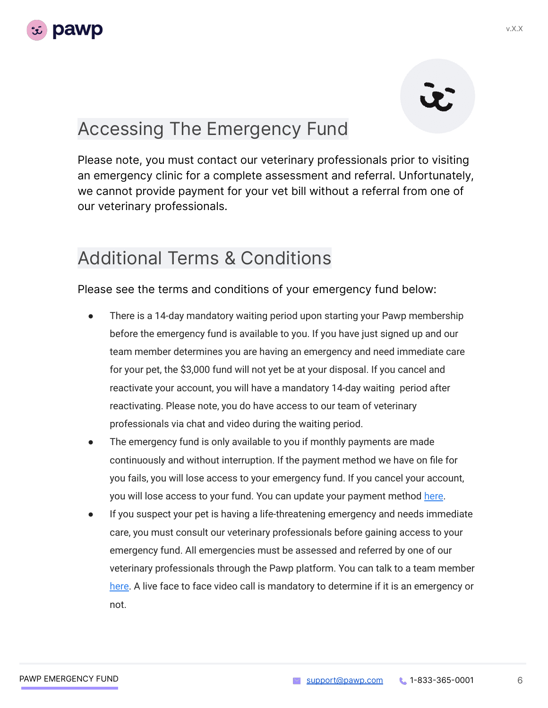

# Accessing The Emergency Fund

Please note, you must contact our veterinary professionals prior to visiting an emergency clinic for a complete assessment and referral. Unfortunately, we cannot provide payment for your vet bill without a referral from one of our veterinary professionals.

## Additional Terms & Conditions

Please see the terms and conditions of your emergency fund below:

- There is a 14-day mandatory waiting period upon starting your Pawp membership before the emergency fund is available to you. If you have just signed up and our team member determines you are having an emergency and need immediate care for your pet, the \$3,000 fund will not yet be at your disposal. If you cancel and reactivate your account, you will have a mandatory 14-day waiting period after reactivating. Please note, you do have access to our team of veterinary professionals via chat and video during the waiting period.
- The emergency fund is only available to you if monthly payments are made continuously and without interruption. If the payment method we have on file for you fails, you will lose access to your emergency fund. If you cancel your account, you will lose access to your fund. You can update your payment method [here](https://pawp.com/app/account/membership/).
- If you suspect your pet is having a life-threatening emergency and needs immediate care, you must consult our veterinary professionals before gaining access to your emergency fund. All emergencies must be assessed and referred by one of our veterinary professionals through the Pawp platform. You can talk to a team member [here](https://pawp.com/app/account/clinic/). A live face to face video call is mandatory to determine if it is an emergency or not.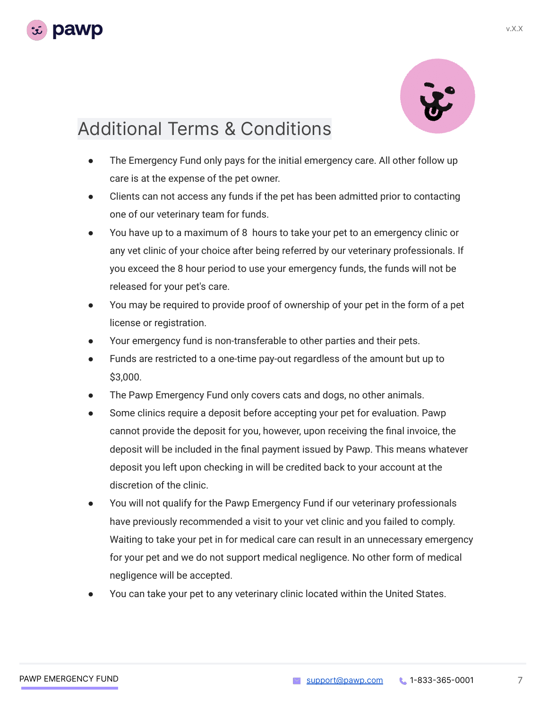



## Additional Terms & Conditions

- The Emergency Fund only pays for the initial emergency care. All other follow up care is at the expense of the pet owner.
- Clients can not access any funds if the pet has been admitted prior to contacting one of our veterinary team for funds.
- You have up to a maximum of 8 hours to take your pet to an emergency clinic or any vet clinic of your choice after being referred by our veterinary professionals. If you exceed the 8 hour period to use your emergency funds, the funds will not be released for your pet's care.
- You may be required to provide proof of ownership of your pet in the form of a pet license or registration.
- Your emergency fund is non-transferable to other parties and their pets.
- Funds are restricted to a one-time pay-out regardless of the amount but up to \$3,000.
- The Pawp Emergency Fund only covers cats and dogs, no other animals.
- Some clinics require a deposit before accepting your pet for evaluation. Pawp cannot provide the deposit for you, however, upon receiving the final invoice, the deposit will be included in the final payment issued by Pawp. This means whatever deposit you left upon checking in will be credited back to your account at the discretion of the clinic.
- You will not qualify for the Pawp Emergency Fund if our veterinary professionals have previously recommended a visit to your vet clinic and you failed to comply. Waiting to take your pet in for medical care can result in an unnecessary emergency for your pet and we do not support medical negligence. No other form of medical negligence will be accepted.
- You can take your pet to any veterinary clinic located within the United States.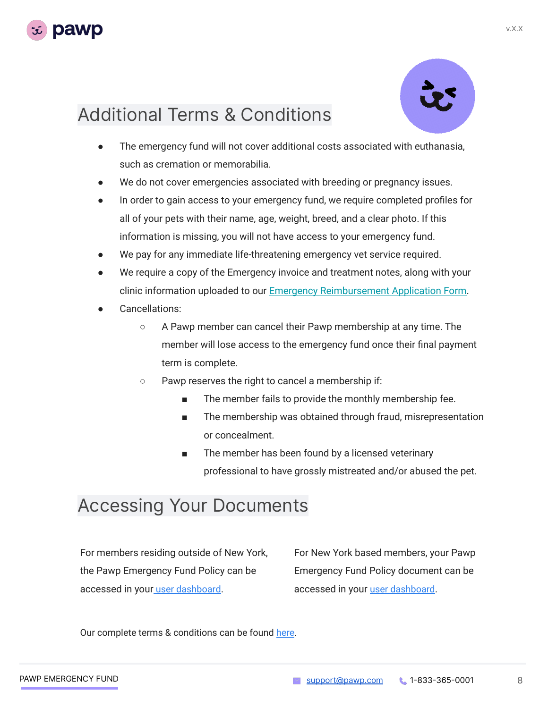



## Additional Terms & Conditions

- The emergency fund will not cover additional costs associated with euthanasia, such as cremation or memorabilia.
- We do not cover emergencies associated with breeding or pregnancy issues.
- In order to gain access to your emergency fund, we require completed profiles for all of your pets with their name, age, weight, breed, and a clear photo. If this information is missing, you will not have access to your emergency fund.
- We pay for any immediate life-threatening emergency vet service required.
- We require a copy of the Emergency invoice and treatment notes, along with your clinic information uploaded to our [Emergency Reimbursement Application Form.](https://docs.google.com/forms/d/1NuqnwLjxZZW5JjatYngC-KJGI_TliM7tg-EnuX_ZboE/edit)
- Cancellations:
	- A Pawp member can cancel their Pawp membership at any time. The member will lose access to the emergency fund once their final payment term is complete.
	- Pawp reserves the right to cancel a membership if:
		- The member fails to provide the monthly membership fee.
		- The membership was obtained through fraud, misrepresentation or concealment.
		- The member has been found by a licensed veterinary professional to have grossly mistreated and/or abused the pet.

### Accessing Your Documents

For members residing outside of New York, the Pawp Emergency Fund Policy can be accessed in your [user dashboar](https://pawp.com/app/emergency-fund/)d.

For New York based members, your Pawp Emergency Fund Policy document can be accessed in your [user dashboard](https://pawp.com/app/emergency-fund/).

Our complete terms & conditions [can be found here](https://pawp.com/tos/).